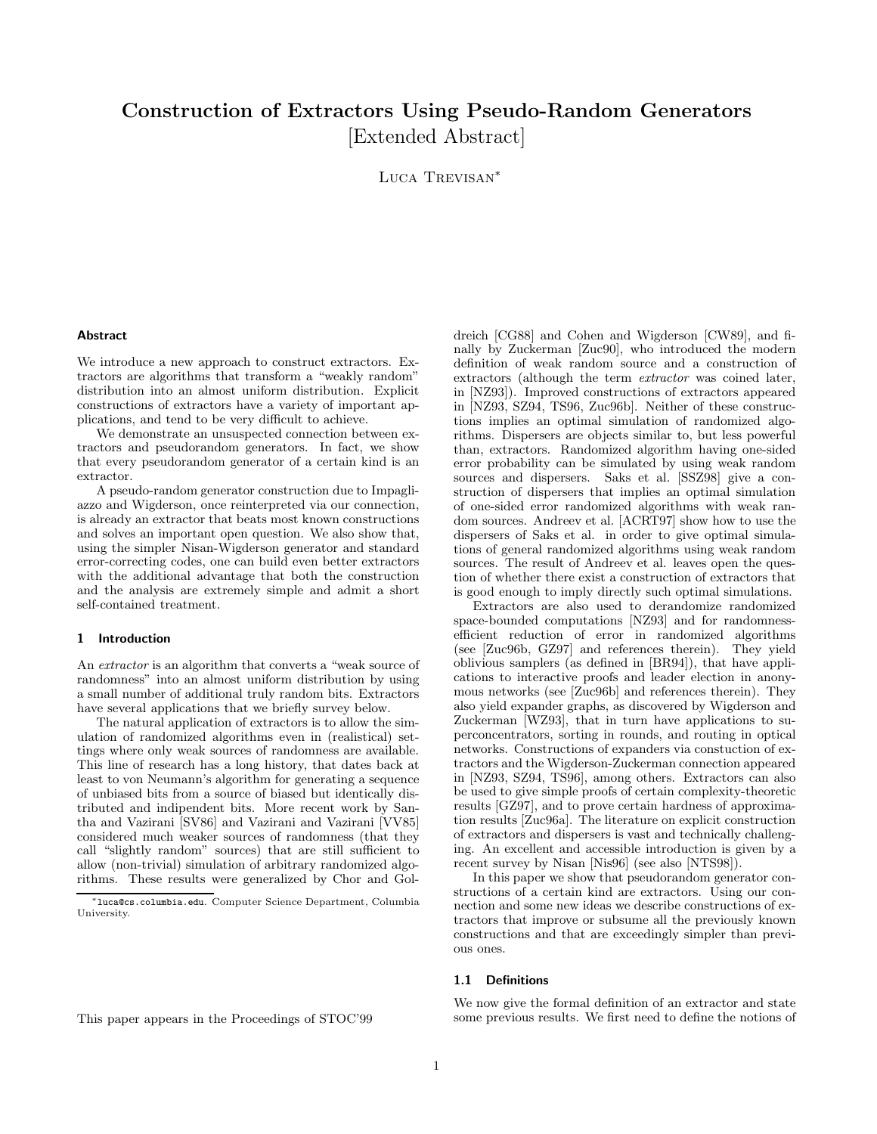# Construction of Extractors Using Pseudo-Random Generators [Extended Abstract]

Luca Trevisan<sup>∗</sup>

#### **Abstract**

We introduce a new approach to construct extractors. Extractors are algorithms that transform a "weakly random" distribution into an almost uniform distribution. Explicit constructions of extractors have a variety of important applications, and tend to be very difficult to achieve.

We demonstrate an unsuspected connection between extractors and pseudorandom generators. In fact, we show that every pseudorandom generator of a certain kind is an extractor.

A pseudo-random generator construction due to Impagliazzo and Wigderson, once reinterpreted via our connection, is already an extractor that beats most known constructions and solves an important open question. We also show that, using the simpler Nisan-Wigderson generator and standard error-correcting codes, one can build even better extractors with the additional advantage that both the construction and the analysis are extremely simple and admit a short self-contained treatment.

## 1 Introduction

An extractor is an algorithm that converts a "weak source of randomness" into an almost uniform distribution by using a small number of additional truly random bits. Extractors have several applications that we briefly survey below.

The natural application of extractors is to allow the simulation of randomized algorithms even in (realistical) settings where only weak sources of randomness are available. This line of research has a long history, that dates back at least to von Neumann's algorithm for generating a sequence of unbiased bits from a source of biased but identically distributed and indipendent bits. More recent work by Santha and Vazirani [SV86] and Vazirani and Vazirani [VV85] considered much weaker sources of randomness (that they call "slightly random" sources) that are still sufficient to allow (non-trivial) simulation of arbitrary randomized algorithms. These results were generalized by Chor and Gol-

This paper appears in the Proceedings of STOC'99

dreich [CG88] and Cohen and Wigderson [CW89], and finally by Zuckerman [Zuc90], who introduced the modern definition of weak random source and a construction of extractors (although the term extractor was coined later, in [NZ93]). Improved constructions of extractors appeared in [NZ93, SZ94, TS96, Zuc96b]. Neither of these constructions implies an optimal simulation of randomized algorithms. Dispersers are objects similar to, but less powerful than, extractors. Randomized algorithm having one-sided error probability can be simulated by using weak random sources and dispersers. Saks et al. [SSZ98] give a construction of dispersers that implies an optimal simulation of one-sided error randomized algorithms with weak random sources. Andreev et al. [ACRT97] show how to use the dispersers of Saks et al. in order to give optimal simulations of general randomized algorithms using weak random sources. The result of Andreev et al. leaves open the question of whether there exist a construction of extractors that is good enough to imply directly such optimal simulations.

Extractors are also used to derandomize randomized space-bounded computations [NZ93] and for randomnessefficient reduction of error in randomized algorithms (see [Zuc96b, GZ97] and references therein). They yield oblivious samplers (as defined in [BR94]), that have applications to interactive proofs and leader election in anonymous networks (see [Zuc96b] and references therein). They also yield expander graphs, as discovered by Wigderson and Zuckerman [WZ93], that in turn have applications to superconcentrators, sorting in rounds, and routing in optical networks. Constructions of expanders via constuction of extractors and the Wigderson-Zuckerman connection appeared in [NZ93, SZ94, TS96], among others. Extractors can also be used to give simple proofs of certain complexity-theoretic results [GZ97], and to prove certain hardness of approximation results [Zuc96a]. The literature on explicit construction of extractors and dispersers is vast and technically challenging. An excellent and accessible introduction is given by a recent survey by Nisan [Nis96] (see also [NTS98]).

In this paper we show that pseudorandom generator constructions of a certain kind are extractors. Using our connection and some new ideas we describe constructions of extractors that improve or subsume all the previously known constructions and that are exceedingly simpler than previous ones.

# 1.1 Definitions

We now give the formal definition of an extractor and state some previous results. We first need to define the notions of

<sup>∗</sup> luca@cs.columbia.edu. Computer Science Department, Columbia University.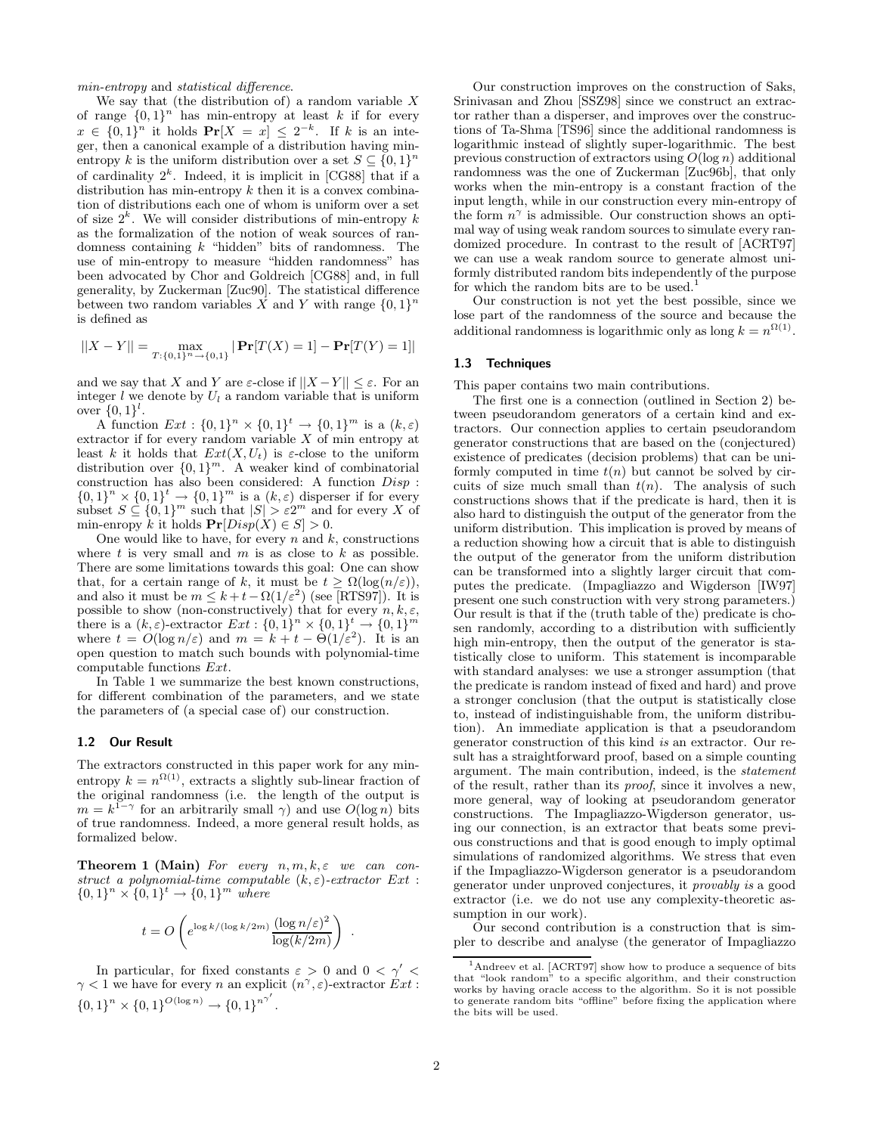min-entropy and statistical difference.

We say that (the distribution of) a random variable  $X$ of range  $\{0,1\}^n$  has min-entropy at least k if for every  $x \in \{0,1\}^n$  it holds  $\Pr[X = x] \leq 2^{-k}$ . If k is an integer, then a canonical example of a distribution having minentropy k is the uniform distribution over a set  $S \subseteq \{0,1\}^n$ of cardinality  $2^k$ . Indeed, it is implicit in [CG88] that if a distribution has min-entropy  $k$  then it is a convex combination of distributions each one of whom is uniform over a set of size  $2^k$ . We will consider distributions of min-entropy k as the formalization of the notion of weak sources of randomness containing  $k$  "hidden" bits of randomness. The use of min-entropy to measure "hidden randomness" has been advocated by Chor and Goldreich [CG88] and, in full generality, by Zuckerman [Zuc90]. The statistical difference between two random variables X and Y with range  $\{0,1\}^n$ is defined as

$$
||X - Y|| = \max_{T: \{0,1\}^n \to \{0,1\}} |\Pr[T(X) = 1] - \Pr[T(Y) = 1]|
$$

and we say that X and Y are  $\varepsilon$ -close if  $||X-Y|| \leq \varepsilon$ . For an integer l we denote by  $U_l$  a random variable that is uniform over  $\{0,1\}^l$ .

A function  $Ext : \{0,1\}^n \times \{0,1\}^t \rightarrow \{0,1\}^m$  is a  $(k,\varepsilon)$ extractor if for every random variable X of min entropy at least k it holds that  $Ext(X, U_t)$  is  $\varepsilon$ -close to the uniform distribution over  $\{0,1\}^m$ . A weaker kind of combinatorial construction has also been considered: A function Disp :  $\{0,1\}^n \times \{0,1\}^t \rightarrow \{0,1\}^m$  is a  $(k,\varepsilon)$  disperser if for every subset  $S \subseteq \{0,1\}^m$  such that  $|S| > \varepsilon 2^m$  and for every X of min-enropy k it holds  $Pr[Disp(X) \in S] > 0$ .

One would like to have, for every  $n$  and  $k$ , constructions where  $t$  is very small and  $m$  is as close to  $k$  as possible. There are some limitations towards this goal: One can show that, for a certain range of k, it must be  $t > \Omega(\log(n/\varepsilon))$ , and also it must be  $m \leq k + t - \Omega(1/\varepsilon^2)$  (see [RTS97]). It is possible to show (non-constructively) that for every  $n, k, \varepsilon$ , there is a  $(k, \varepsilon)$ -extractor  $Ext : \{0, 1\}^n \times \{0, 1\}^t \to \{0, 1\}^m$ where  $t = O(\log n/\varepsilon)$  and  $m = k + t - \Theta(1/\varepsilon^2)$ . It is an open question to match such bounds with polynomial-time computable functions Ext.

In Table 1 we summarize the best known constructions, for different combination of the parameters, and we state the parameters of (a special case of) our construction.

# 1.2 Our Result

The extractors constructed in this paper work for any minentropy  $k = n^{\Omega(1)}$ , extracts a slightly sub-linear fraction of the original randomness (i.e. the length of the output is  $m = k^{1-\gamma}$  for an arbitrarily small  $\gamma$ ) and use  $O(\log n)$  bits of true randomness. Indeed, a more general result holds, as formalized below.

**Theorem 1 (Main)** For every  $n, m, k, \varepsilon$  we can construct a polynomial-time computable  $(k, \varepsilon)$ -extractor  $Ext$ :  ${0,1}^n \times {0,1}^t \rightarrow {0,1}^m$  where

$$
t = O\left(e^{\log k/(\log k/2m)} \frac{(\log n/\varepsilon)^2}{\log(k/2m)}\right) .
$$

In particular, for fixed constants  $\varepsilon > 0$  and  $0 < \gamma' <$  $\gamma < 1$  we have for every n an explicit  $(n^{\gamma}, \varepsilon)$ -extractor  $Ext$ :  ${0,1}^n \times {0,1}^{O(\log n)} \to {0,1}^{n^{\gamma'}}.$ 

Our construction improves on the construction of Saks, Srinivasan and Zhou [SSZ98] since we construct an extractor rather than a disperser, and improves over the constructions of Ta-Shma [TS96] since the additional randomness is logarithmic instead of slightly super-logarithmic. The best previous construction of extractors using  $O(\log n)$  additional randomness was the one of Zuckerman [Zuc96b], that only works when the min-entropy is a constant fraction of the input length, while in our construction every min-entropy of the form  $n^{\gamma}$  is admissible. Our construction shows an optimal way of using weak random sources to simulate every randomized procedure. In contrast to the result of [ACRT97] we can use a weak random source to generate almost uniformly distributed random bits independently of the purpose for which the random bits are to be used.<sup>1</sup>

Our construction is not yet the best possible, since we lose part of the randomness of the source and because the additional randomness is logarithmic only as long  $k = n^{\Omega(1)}$ .

# 1.3 Techniques

This paper contains two main contributions.

The first one is a connection (outlined in Section 2) between pseudorandom generators of a certain kind and extractors. Our connection applies to certain pseudorandom generator constructions that are based on the (conjectured) existence of predicates (decision problems) that can be uniformly computed in time  $t(n)$  but cannot be solved by circuits of size much small than  $t(n)$ . The analysis of such constructions shows that if the predicate is hard, then it is also hard to distinguish the output of the generator from the uniform distribution. This implication is proved by means of a reduction showing how a circuit that is able to distinguish the output of the generator from the uniform distribution can be transformed into a slightly larger circuit that computes the predicate. (Impagliazzo and Wigderson [IW97] present one such construction with very strong parameters.) Our result is that if the (truth table of the) predicate is chosen randomly, according to a distribution with sufficiently high min-entropy, then the output of the generator is statistically close to uniform. This statement is incomparable with standard analyses: we use a stronger assumption (that the predicate is random instead of fixed and hard) and prove a stronger conclusion (that the output is statistically close to, instead of indistinguishable from, the uniform distribution). An immediate application is that a pseudorandom generator construction of this kind is an extractor. Our result has a straightforward proof, based on a simple counting argument. The main contribution, indeed, is the statement of the result, rather than its proof, since it involves a new, more general, way of looking at pseudorandom generator constructions. The Impagliazzo-Wigderson generator, using our connection, is an extractor that beats some previous constructions and that is good enough to imply optimal simulations of randomized algorithms. We stress that even if the Impagliazzo-Wigderson generator is a pseudorandom generator under unproved conjectures, it provably is a good extractor (i.e. we do not use any complexity-theoretic assumption in our work).

Our second contribution is a construction that is simpler to describe and analyse (the generator of Impagliazzo

 $<sup>1</sup>$ Andreev et al. [ACRT97] show how to produce a sequence of bits</sup> that "look random" to a specific algorithm, and their construction works by having oracle access to the algorithm. So it is not possible to generate random bits "offline" before fixing the application where the bits will be used.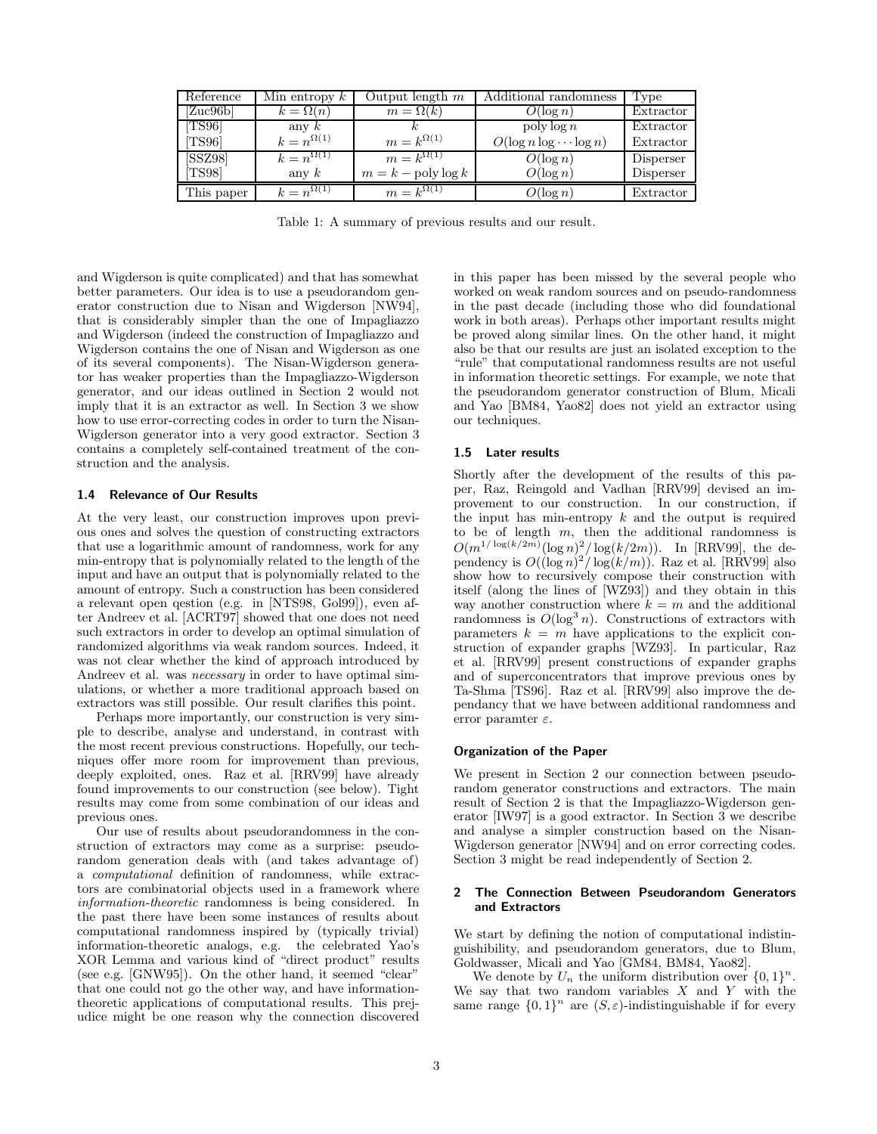| Reference  | Min entropy $k$   | Output length $m$            | Additional randomness          | Type      |
|------------|-------------------|------------------------------|--------------------------------|-----------|
| [Zuc96b]   | $k=\Omega(n)$     | $m = \Omega(k)$              | $O(\log n)$                    | Extractor |
| [TS96]     | any $k$           |                              | $\text{poly}\log n$            | Extractor |
| [TS96]     | $k=n^{\Omega(1)}$ | $m=k^{\Omega(1)}$            | $O(\log n \log \cdots \log n)$ | Extractor |
| [SSZ98]    | $k=n^{\Omega(1)}$ | $m=k^{\overline{\Omega(1)}}$ | $O(\log n)$                    | Disperser |
| [TS98]     | any $k$           | $m = k - \text{poly}\log k$  | $O(\log n)$                    | Disperser |
| This paper | $k=n^{\Omega(1)}$ | $m=k^{\Omega(1)}$            | $O(\log n)$                    | Extractor |

Table 1: A summary of previous results and our result.

and Wigderson is quite complicated) and that has somewhat better parameters. Our idea is to use a pseudorandom generator construction due to Nisan and Wigderson [NW94], that is considerably simpler than the one of Impagliazzo and Wigderson (indeed the construction of Impagliazzo and Wigderson contains the one of Nisan and Wigderson as one of its several components). The Nisan-Wigderson generator has weaker properties than the Impagliazzo-Wigderson generator, and our ideas outlined in Section 2 would not imply that it is an extractor as well. In Section 3 we show how to use error-correcting codes in order to turn the Nisan-Wigderson generator into a very good extractor. Section 3 contains a completely self-contained treatment of the construction and the analysis.

## 1.4 Relevance of Our Results

At the very least, our construction improves upon previous ones and solves the question of constructing extractors that use a logarithmic amount of randomness, work for any min-entropy that is polynomially related to the length of the input and have an output that is polynomially related to the amount of entropy. Such a construction has been considered a relevant open qestion (e.g. in [NTS98, Gol99]), even after Andreev et al. [ACRT97] showed that one does not need such extractors in order to develop an optimal simulation of randomized algorithms via weak random sources. Indeed, it was not clear whether the kind of approach introduced by Andreev et al. was necessary in order to have optimal simulations, or whether a more traditional approach based on extractors was still possible. Our result clarifies this point.

Perhaps more importantly, our construction is very simple to describe, analyse and understand, in contrast with the most recent previous constructions. Hopefully, our techniques offer more room for improvement than previous, deeply exploited, ones. Raz et al. [RRV99] have already found improvements to our construction (see below). Tight results may come from some combination of our ideas and previous ones.

Our use of results about pseudorandomness in the construction of extractors may come as a surprise: pseudorandom generation deals with (and takes advantage of) a computational definition of randomness, while extractors are combinatorial objects used in a framework where information-theoretic randomness is being considered. In the past there have been some instances of results about computational randomness inspired by (typically trivial) information-theoretic analogs, e.g. the celebrated Yao's XOR Lemma and various kind of "direct product" results (see e.g. [GNW95]). On the other hand, it seemed "clear" that one could not go the other way, and have informationtheoretic applications of computational results. This prejudice might be one reason why the connection discovered in this paper has been missed by the several people who worked on weak random sources and on pseudo-randomness in the past decade (including those who did foundational work in both areas). Perhaps other important results might be proved along similar lines. On the other hand, it might also be that our results are just an isolated exception to the "rule" that computational randomness results are not useful in information theoretic settings. For example, we note that the pseudorandom generator construction of Blum, Micali and Yao [BM84, Yao82] does not yield an extractor using our techniques.

#### 1.5 Later results

Shortly after the development of the results of this paper, Raz, Reingold and Vadhan [RRV99] devised an improvement to our construction. In our construction, if the input has min-entropy  $k$  and the output is required to be of length  $m$ , then the additional randomness is  $O(m^{1/\log(k/2m)}(\log n)^2/\log(k/2m)).$  In [RRV99], the dependency is  $O((\log n)^2/\log(k/m))$ . Raz et al. [RRV99] also show how to recursively compose their construction with itself (along the lines of [WZ93]) and they obtain in this way another construction where  $k = m$  and the additional randomness is  $O(\log^3 n)$ . Constructions of extractors with parameters  $k = m$  have applications to the explicit construction of expander graphs [WZ93]. In particular, Raz et al. [RRV99] present constructions of expander graphs and of superconcentrators that improve previous ones by Ta-Shma [TS96]. Raz et al. [RRV99] also improve the dependancy that we have between additional randomness and error paramter  $\varepsilon$ .

#### Organization of the Paper

We present in Section 2 our connection between pseudorandom generator constructions and extractors. The main result of Section 2 is that the Impagliazzo-Wigderson generator [IW97] is a good extractor. In Section 3 we describe and analyse a simpler construction based on the Nisan-Wigderson generator [NW94] and on error correcting codes. Section 3 might be read independently of Section 2.

### 2 The Connection Between Pseudorandom Generators and Extractors

We start by defining the notion of computational indistinguishibility, and pseudorandom generators, due to Blum, Goldwasser, Micali and Yao [GM84, BM84, Yao82].

We denote by  $U_n$  the uniform distribution over  $\{0,1\}^n$ . We say that two random variables  $X$  and  $Y$  with the same range  $\{0,1\}^n$  are  $(S,\varepsilon)$ -indistinguishable if for every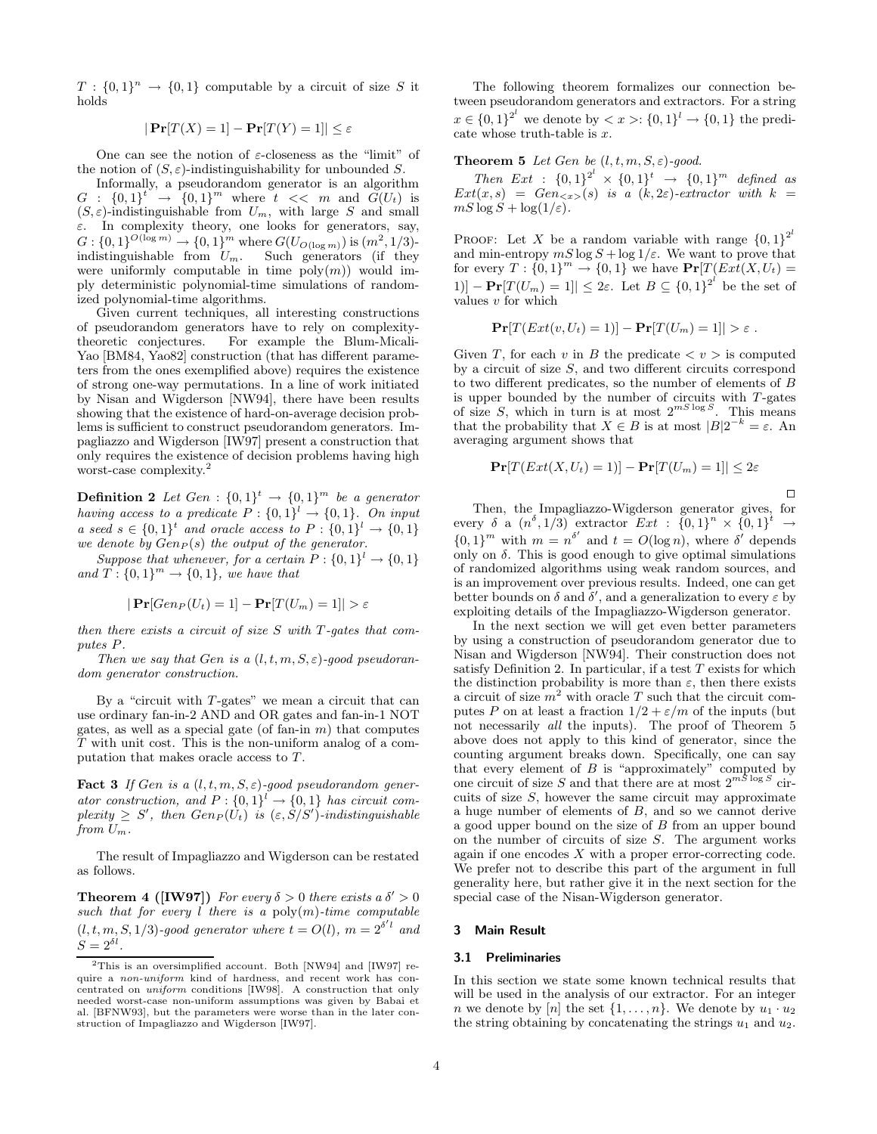$T: \{0,1\}^n \to \{0,1\}$  computable by a circuit of size S it holds

$$
|\Pr[T(X) = 1] - \Pr[T(Y) = 1]| \le \varepsilon
$$

One can see the notion of  $\varepsilon$ -closeness as the "limit" of the notion of  $(S, \varepsilon)$ -indistinguishability for unbounded S.

Informally, a pseudorandom generator is an algorithm  $G : \{0,1\}^t \rightarrow \{0,1\}^m$  where  $t \ll m$  and  $G(U_t)$  is  $(S, \varepsilon)$ -indistinguishable from  $U_m$ , with large S and small  $\varepsilon$ . In complexity theory, one looks for generators, say,  $G: \{0,1\}^{O(\log m)} \to \{0,1\}^m$  where  $G(U_{O(\log m)})$  is  $(m^2, 1/3)$ indistinguishable from  $U_m$ . Such generators (if they were uniformly computable in time  $poly(m))$  would imply deterministic polynomial-time simulations of randomized polynomial-time algorithms.

Given current techniques, all interesting constructions of pseudorandom generators have to rely on complexitytheoretic conjectures. For example the Blum-Micali-Yao [BM84, Yao82] construction (that has different parameters from the ones exemplified above) requires the existence of strong one-way permutations. In a line of work initiated by Nisan and Wigderson [NW94], there have been results showing that the existence of hard-on-average decision problems is sufficient to construct pseudorandom generators. Impagliazzo and Wigderson [IW97] present a construction that only requires the existence of decision problems having high worst-case complexity.<sup>2</sup>

**Definition 2** Let  $Gen: \{0,1\}^t \rightarrow \{0,1\}^m$  be a generator having access to a predicate  $P: \{0,1\}^l \to \{0,1\}$ . On input a seed  $s \in \{0,1\}^t$  and oracle access to  $P: \{0,1\}^l \to \{0,1\}$ we denote by  $Gen_P(s)$  the output of the generator.

Suppose that whenever, for a certain  $P: \{0,1\}^l \to \{0,1\}^l$ and  $T: \{0,1\}^m \to \{0,1\}$ , we have that

$$
|\Pr[Gen_P(U_t) = 1] - \Pr[T(U_m) = 1]| > \varepsilon
$$

then there exists a circuit of size  $S$  with  $T$ -gates that computes P.

Then we say that Gen is a  $(l, t, m, S, \varepsilon)$ -good pseudorandom generator construction.

By a "circuit with  $T$ -gates" we mean a circuit that can use ordinary fan-in-2 AND and OR gates and fan-in-1 NOT gates, as well as a special gate (of fan-in  $m$ ) that computes T with unit cost. This is the non-uniform analog of a computation that makes oracle access to T.

**Fact 3** If Gen is a  $(l, t, m, S, \varepsilon)$ -good pseudorandom generator construction, and  $P: \{0,1\}^l \to \{0,1\}$  has circuit com $plexity \geq S'$ , then  $Gen_P(\tilde{U}_t)$  is  $(\varepsilon, \tilde{S}/S')$ -indistinguishable from  $U_m$ .

The result of Impagliazzo and Wigderson can be restated as follows.

**Theorem 4 ([IW97])** For every  $\delta > 0$  there exists a  $\delta' > 0$ such that for every  $l$  there is a  $\text{poly}(m)\text{-}time$  computable  $(l, t, m, S, 1/3)$ -good generator where  $t = O(l)$ ,  $m = 2^{\delta' l}$  and  $S=2^{\delta l}$ .

The following theorem formalizes our connection between pseudorandom generators and extractors. For a string  $x \in \{0,1\}^{2^l}$  we denote by  $\langle x \rangle : \{0,1\}^l \to \{0,1\}$  the predicate whose truth-table is  $x$ .

# **Theorem 5** Let Gen be  $(l, t, m, S, \varepsilon)$ -good.

Then Ext :  ${0,1}^2 \times {0,1}^t \rightarrow {0,1}^m$  defined as  $Ext(x, s) = Gen_{\langle x \rangle}(s)$  is a  $(k, 2\varepsilon)$ -extractor with  $k =$  $mS \log S + \log(1/\varepsilon)$ .

PROOF: Let X be a random variable with range  $\{0,1\}^{2^l}$ and min-entropy  $mS \log S + \log 1/\varepsilon$ . We want to prove that for every  $T: \{0,1\}^m \to \{0,1\}$  we have  $\Pr[T(Ext(X, U_t) =$ 1)]  $-\Pr[T(U_m) = 1] \leq 2\varepsilon$ . Let  $B \subseteq \{0,1\}^{2^l}$  be the set of values  $v$  for which

$$
\mathbf{Pr}[T(Ext(v, U_t) = 1)] - \mathbf{Pr}[T(U_m) = 1]| > \varepsilon.
$$

Given T, for each v in B the predicate  $\langle v \rangle$  is computed by a circuit of size S, and two different circuits correspond to two different predicates, so the number of elements of B is upper bounded by the number of circuits with  $T$ -gates of size S, which in turn is at most  $2^{mS \log S}$ . This means that the probability that  $X \in B$  is at most  $|B|2^{-k} = \varepsilon$ . An averaging argument shows that

$$
\mathbf{Pr}[T(Ext(X, U_t) = 1)] - \mathbf{Pr}[T(U_m) = 1]| \leq 2\varepsilon
$$

<sup>2</sup> Then, the Impagliazzo-Wigderson generator gives, for every  $\delta$  a  $(n^{\delta}, 1/3)$  extractor  $Ext : \{0,1\}^n \times \{0,1\}^t \rightarrow$ 

 $\Box$ 

 ${0, 1}^m$  with  $m = n^{\delta'}$  and  $t = O(\log n)$ , where  $\delta'$  depends only on  $\delta$ . This is good enough to give optimal simulations of randomized algorithms using weak random sources, and is an improvement over previous results. Indeed, one can get better bounds on  $\delta$  and  $\delta'$ , and a generalization to every  $\varepsilon$  by exploiting details of the Impagliazzo-Wigderson generator.

In the next section we will get even better parameters by using a construction of pseudorandom generator due to Nisan and Wigderson [NW94]. Their construction does not satisfy Definition 2. In particular, if a test  $T$  exists for which the distinction probability is more than  $\varepsilon$ , then there exists a circuit of size  $m^2$  with oracle T such that the circuit computes P on at least a fraction  $1/2 + \varepsilon/m$  of the inputs (but not necessarily all the inputs). The proof of Theorem 5 above does not apply to this kind of generator, since the counting argument breaks down. Specifically, one can say that every element of  $B$  is "approximately" computed by one circuit of size S and that there are at most  $2^{m\overline{S}\log S}$  circuits of size S, however the same circuit may approximate a huge number of elements of B, and so we cannot derive a good upper bound on the size of  $B$  from an upper bound on the number of circuits of size S. The argument works again if one encodes  $X$  with a proper error-correcting code. We prefer not to describe this part of the argument in full generality here, but rather give it in the next section for the special case of the Nisan-Wigderson generator.

## 3 Main Result

#### 3.1 Preliminaries

In this section we state some known technical results that will be used in the analysis of our extractor. For an integer *n* we denote by [*n*] the set  $\{1, \ldots, n\}$ . We denote by  $u_1 \cdot u_2$ the string obtaining by concatenating the strings  $u_1$  and  $u_2$ .

<sup>2</sup>This is an oversimplified account. Both [NW94] and [IW97] require a *non-uniform* kind of hardness, and recent work has concentrated on *uniform* conditions [IW98]. A construction that only needed worst-case non-uniform assumptions was given by Babai et al. [BFNW93], but the parameters were worse than in the later construction of Impagliazzo and Wigderson [IW97].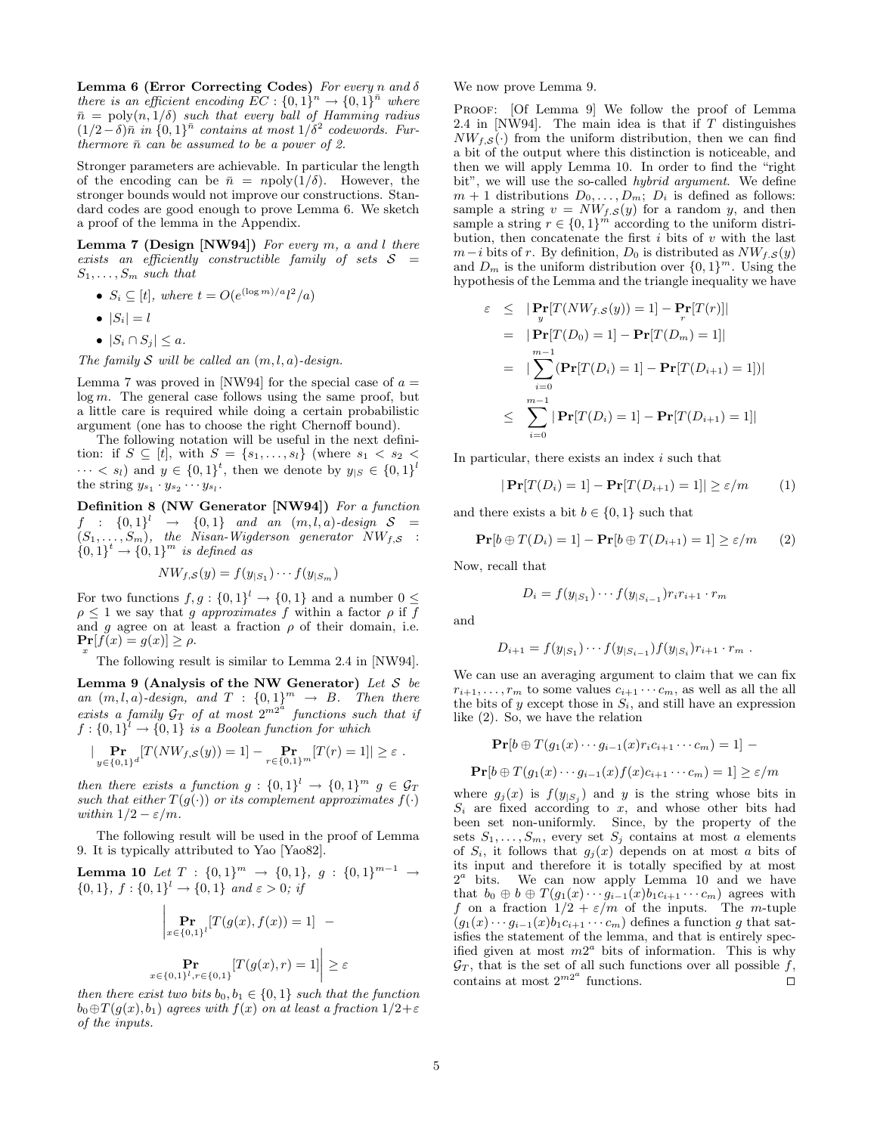**Lemma 6 (Error Correcting Codes)** For every n and  $\delta$ there is an efficient encoding  $EC: \{0,1\}^n \to \{0,1\}^{\bar{n}}$  where  $\bar{n} = \text{poly}(n, 1/\delta)$  such that every ball of Hamming radius  $(1/2-\delta)\bar{n}$  in  $\{0,1\}^{\bar{n}}$  contains at most  $1/\delta^2$  codewords. Furthermore  $\bar{n}$  can be assumed to be a power of 2.

Stronger parameters are achievable. In particular the length of the encoding can be  $\bar{n} = npoly(1/\delta)$ . However, the stronger bounds would not improve our constructions. Standard codes are good enough to prove Lemma 6. We sketch a proof of the lemma in the Appendix.

**Lemma 7 (Design [NW94])** For every  $m$ , a and l there exists an efficiently constructible family of sets  $S =$  $S_1, \ldots, S_m$  such that

- $S_i \subseteq [t]$ , where  $t = O(e^{(\log m)/a}l^2/a)$
- $|S_i| = l$
- $|S_i \cap S_j| \leq a$ .

The family  $S$  will be called an  $(m, l, a)$ -design.

Lemma 7 was proved in [NW94] for the special case of  $a =$  $log m$ . The general case follows using the same proof, but a little care is required while doing a certain probabilistic argument (one has to choose the right Chernoff bound).

The following notation will be useful in the next definition: if  $S \subseteq [t]$ , with  $S = \{s_1, \ldots, s_l\}$  (where  $s_1 < s_2$  $\cdots < s_l$ ) and  $y \in \{0,1\}^t$ , then we denote by  $y_{|S} \in \{0,1\}^l$ the string  $y_{s_1} \cdot y_{s_2} \cdots y_{s_l}$ .

Definition 8 (NW Generator [NW94]) For a function  $f: \{0,1\}^l \rightarrow \{0,1\}$  and an  $(m, l, a)$ -design  $S = (S_1, \ldots, S_m)$ , the Nisan-Wigderson generator  $NW_{f, S}$ :  ${0,1}^t \rightarrow {0,1}^m$  is defined as

$$
NW_{f,S}(y) = f(y_{|S_1}) \cdots f(y_{|S_m})
$$

For two functions  $f, g: \{0,1\}^l \to \{0,1\}$  and a number  $0 \leq$  $\rho \leq 1$  we say that g approximates f within a factor  $\rho$  if f and g agree on at least a fraction  $\rho$  of their domain, i.e.  $\Pr_{x}[f(x) = g(x)] \ge \rho.$ x

The following result is similar to Lemma 2.4 in [NW94].

Lemma 9 (Analysis of the NW Generator) Let  $S$  be an  $(m, l, a)$ -design, and  $T : \{0, 1\}^m \rightarrow B$ . Then there exists a family  $G_T$  of at most  $2^{m2^a}$  functions such that if  $f: \{0,1\} \rightarrow \{0,1\}$  is a Boolean function for which

$$
|\Pr_{y \in \{0,1\}^d} [T(NW_{f,S}(y)) = 1] - \Pr_{r \in \{0,1\}^m} [T(r) = 1]| \ge \varepsilon.
$$

then there exists a function  $g: \{0,1\}^l \to \{0,1\}^m$   $g \in \mathcal{G}_I$ such that either  $T(g(\cdot))$  or its complement approximates  $f(\cdot)$ within  $1/2 - \varepsilon/m$ .

The following result will be used in the proof of Lemma 9. It is typically attributed to Yao [Yao82].

**Lemma 10** Let  $T : \{0,1\}^m \to \{0,1\}, g : \{0,1\}^{m-1} \to$  $\{0,1\}, f: \{0,1\} \rightarrow \{0,1\} \text{ and } \varepsilon > 0; \text{ if }$ 

$$
\left| \underset{x \in \{0,1\}^l}{\mathbf{Pr}} [T(g(x), f(x)) = 1] - \underset{x \in \{0,1\}^l, r \in \{0,1\}}{\mathbf{Pr}} [T(g(x), r) = 1] \right| \ge \varepsilon
$$

then there exist two bits  $b_0, b_1 \in \{0, 1\}$  such that the function  $b_0 \oplus T(g(x), b_1)$  agrees with  $f(x)$  on at least a fraction  $1/2+\varepsilon$ of the inputs.

We now prove Lemma 9.

PROOF: [Of Lemma 9] We follow the proof of Lemma 2.4 in [NW94]. The main idea is that if  $T$  distinguishes  $NW_{f,S}(\cdot)$  from the uniform distribution, then we can find a bit of the output where this distinction is noticeable, and then we will apply Lemma 10. In order to find the "right bit", we will use the so-called *hybrid argument*. We define  $m + 1$  distributions  $D_0, \ldots, D_m; D_i$  is defined as follows: sample a string  $v = NW_{f,\mathcal{S}}(y)$  for a random y, and then sample a string  $r \in \{0,1\}^m$  according to the uniform distribution, then concatenate the first  $i$  bits of  $v$  with the last  $m-i$  bits of r. By definition,  $D_0$  is distributed as  $NW_{f,S}(y)$ and  $D_m$  is the uniform distribution over  $\{0, 1\}^m$ . Using the hypothesis of the Lemma and the triangle inequality we have

$$
\varepsilon \leq |\Pr_{y}[T(NW_{f,S}(y)) = 1] - \Pr_{r}[T(r)]|
$$
  
\n
$$
= |\Pr_{z}[T(D_{0}) = 1] - \Pr_{z}[T(D_{m}) = 1]|
$$
  
\n
$$
= |\sum_{i=0}^{m-1} (\Pr_{z}[T(D_{i}) = 1] - \Pr_{z}[T(D_{i+1}) = 1]|
$$
  
\n
$$
\leq \sum_{i=0}^{m-1} |\Pr_{z}[T(D_{i}) = 1] - \Pr_{z}[T(D_{i+1}) = 1]|
$$

In particular, there exists an index  $i$  such that

$$
|\Pr[T(D_i) = 1] - \Pr[T(D_{i+1}) = 1]| \ge \varepsilon/m \tag{1}
$$

and there exists a bit  $b \in \{0, 1\}$  such that

$$
\Pr[b \oplus T(D_i) = 1] - \Pr[b \oplus T(D_{i+1}) = 1] \ge \varepsilon/m \qquad (2)
$$

Now, recall that

$$
D_i = f(y_{|S_1}) \cdots f(y_{|S_{i-1}}) r_i r_{i+1} \cdot r_m
$$

and

$$
D_{i+1} = f(y_{|S_1}) \cdots f(y_{|S_{i-1}}) f(y_{|S_i}) r_{i+1} \cdot r_m.
$$

We can use an averaging argument to claim that we can fix  $r_{i+1}, \ldots, r_m$  to some values  $c_{i+1} \cdots c_m$ , as well as all the all the bits of y except those in  $S_i$ , and still have an expression like (2). So, we have the relation

$$
\mathbf{Pr}[b \oplus T(g_1(x) \cdots g_{i-1}(x)r_i c_{i+1} \cdots c_m) = 1] -
$$

$$
\mathbf{Pr}[b \oplus T(g_1(x) \cdots g_{i-1}(x)f(x)c_{i+1} \cdots c_m) = 1] \ge \varepsilon/m
$$

where  $g_j(x)$  is  $f(y_{|S_j})$  and y is the string whose bits in  $S_i$  are fixed according to x, and whose other bits had been set non-uniformly. Since, by the property of the sets  $S_1, \ldots, S_m$ , every set  $S_j$  contains at most a elements of  $S_i$ , it follows that  $g_j(x)$  depends on at most a bits of its input and therefore it is totally specified by at most  $2<sup>a</sup>$  bits. We can now apply Lemma 10 and we have that  $b_0 \oplus b \oplus T(g_1(x) \cdots g_{i-1}(x)b_1c_{i+1} \cdots c_m)$  agrees with f on a fraction  $1/2 + \varepsilon/m$  of the inputs. The m-tuple  $(g_1(x) \cdots g_{i-1}(x) b_1 c_{i+1} \cdots c_m)$  defines a function g that satisfies the statement of the lemma, and that is entirely specified given at most  $m2^a$  bits of information. This is why  $\mathcal{G}_T$ , that is the set of all such functions over all possible f,<br>contains at most  $2^{m2^{\alpha}}$  functions contains at most  $2^{m2^a}$  functions.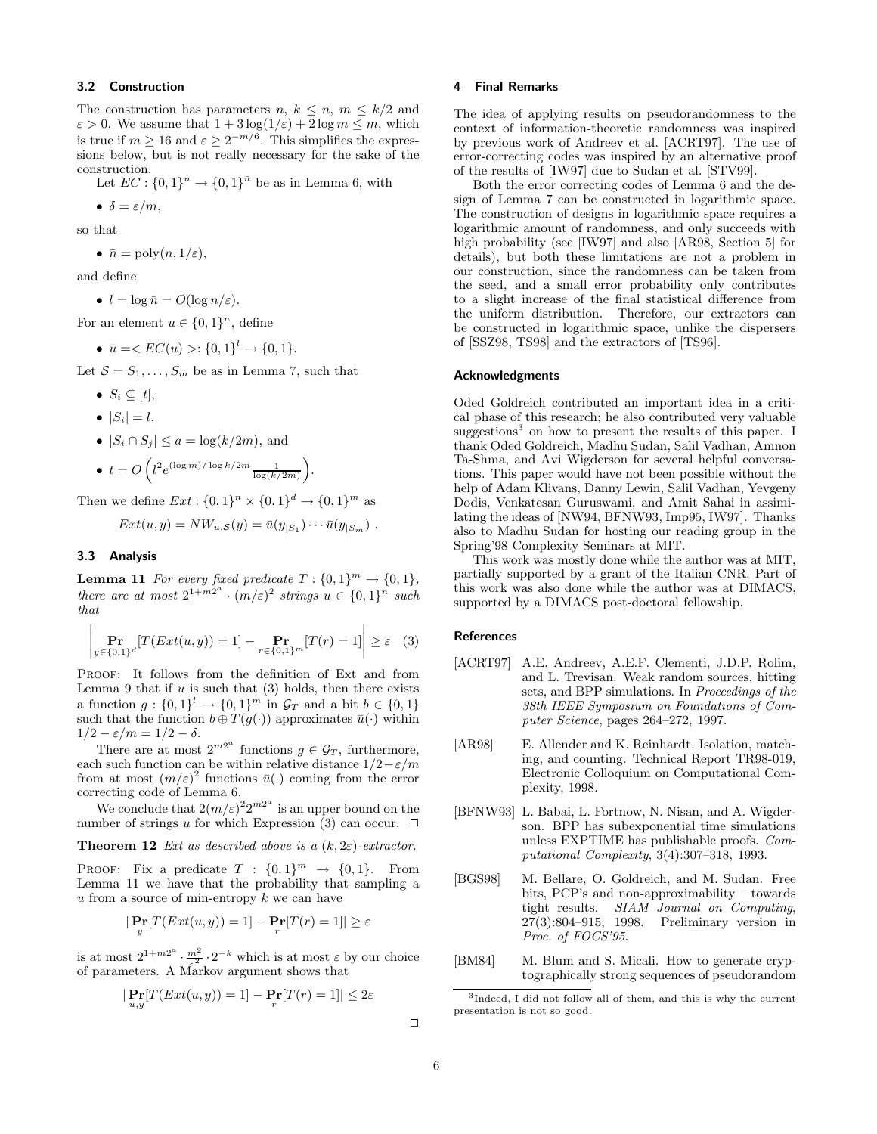## 3.2 Construction

The construction has parameters  $n, k \leq n, m \leq k/2$  and  $\varepsilon > 0$ . We assume that  $1 + 3 \log(1/\varepsilon) + 2 \log m \le m$ , which is true if  $m \geq 16$  and  $\varepsilon \geq 2^{-m/6}$ . This simplifies the expressions below, but is not really necessary for the sake of the construction.

Let  $EC: \{0,1\}^n \to \{0,1\}^{\bar{n}}$  be as in Lemma 6, with

•  $\delta = \varepsilon/m$ ,

so that

•  $\bar{n} = \text{poly}(n, 1/\varepsilon),$ 

and define

•  $l = \log \bar{n} = O(\log n/\varepsilon)$ .

For an element  $u \in \{0,1\}^n$ , define

• 
$$
\bar{u} = \langle EC(u) \rangle : \{0, 1\}^l \to \{0, 1\}.
$$

Let  $S = S_1, \ldots, S_m$  be as in Lemma 7, such that

- $S_i \subseteq [t],$
- $|S_i| = l$ ,
- $|S_i \cap S_j| \leq a = \log(k/2m)$ , and

• 
$$
t = O\left(l^2 e^{(\log m)/\log k/2m} \frac{1}{\log(k/2m)}\right).
$$

Then we define  $Ext: \{0, 1\}^n \times \{0, 1\}^d \to \{0, 1\}^m$  as

$$
Ext(u,y)=NW_{\bar{u},S}(y)=\bar{u}(y_{|S_1})\cdots\bar{u}(y_{|S_m}).
$$

#### 3.3 Analysis

**Lemma 11** For every fixed predicate  $T: \{0, 1\}^m \to \{0, 1\},\$ there are at most  $2^{1+m2^a} \cdot (m/\varepsilon)^2$  strings  $u \in \{0,1\}^n$  such that

$$
\left| \Pr_{y \in \{0,1\}^d} [T(Ext(u, y)) = 1] - \Pr_{r \in \{0,1\}^m} [T(r) = 1] \right| \ge \varepsilon \quad (3)
$$

PROOF: It follows from the definition of Ext and from Lemma 9 that if  $u$  is such that  $(3)$  holds, then there exists a function  $g: \{0,1\}^l \to \{0,1\}^m$  in  $\mathcal{G}_T$  and a bit  $b \in \{0,1\}$ such that the function  $b \oplus T(g(\cdot))$  approximates  $\bar{u}(\cdot)$  within  $1/2 - \varepsilon/m = 1/2 - \delta.$ 

There are at most  $2^{m2^a}$  functions  $g \in \mathcal{G}_T$ , furthermore, each such function can be within relative distance  $1/2 - \varepsilon/m$ from at most  $(m/\varepsilon)^2$  functions  $\bar{u}(\cdot)$  coming from the error correcting code of Lemma 6.

We conclude that  $2(m/\varepsilon)^2 2^{m2^a}$  is an upper bound on the number of strings u for which Expression (3) can occur.  $\Box$ 

**Theorem 12** Ext as described above is a  $(k, 2\varepsilon)$ -extractor.

PROOF: Fix a predicate  $T : \{0,1\}^m \to \{0,1\}$ . From Lemma 11 we have that the probability that sampling a  $u$  from a source of min-entropy  $k$  we can have

$$
|\Pr_{y}[T(Ext(u,y)) = 1] - \Pr_{r}[T(r) = 1]| \ge \varepsilon
$$

is at most  $2^{1+m2^a} \cdot \frac{m^2}{\varepsilon^2} \cdot 2^{-k}$  which is at most  $\varepsilon$  by our choice of parameters. A Markov argument shows that

$$
|\Pr_{u,y}[T(Ext(u,y)) = 1] - \Pr_r[T(r) = 1]| \leq 2\varepsilon
$$

## 4 Final Remarks

The idea of applying results on pseudorandomness to the context of information-theoretic randomness was inspired by previous work of Andreev et al. [ACRT97]. The use of error-correcting codes was inspired by an alternative proof of the results of [IW97] due to Sudan et al. [STV99].

Both the error correcting codes of Lemma 6 and the design of Lemma 7 can be constructed in logarithmic space. The construction of designs in logarithmic space requires a logarithmic amount of randomness, and only succeeds with high probability (see [IW97] and also [AR98, Section 5] for details), but both these limitations are not a problem in our construction, since the randomness can be taken from the seed, and a small error probability only contributes to a slight increase of the final statistical difference from the uniform distribution. Therefore, our extractors can be constructed in logarithmic space, unlike the dispersers of [SSZ98, TS98] and the extractors of [TS96].

# Acknowledgments

Oded Goldreich contributed an important idea in a critical phase of this research; he also contributed very valuable suggestions<sup>3</sup> on how to present the results of this paper. I thank Oded Goldreich, Madhu Sudan, Salil Vadhan, Amnon Ta-Shma, and Avi Wigderson for several helpful conversations. This paper would have not been possible without the help of Adam Klivans, Danny Lewin, Salil Vadhan, Yevgeny Dodis, Venkatesan Guruswami, and Amit Sahai in assimilating the ideas of [NW94, BFNW93, Imp95, IW97]. Thanks also to Madhu Sudan for hosting our reading group in the Spring'98 Complexity Seminars at MIT.

This work was mostly done while the author was at MIT, partially supported by a grant of the Italian CNR. Part of this work was also done while the author was at DIMACS, supported by a DIMACS post-doctoral fellowship.

# References

- [ACRT97] A.E. Andreev, A.E.F. Clementi, J.D.P. Rolim, and L. Trevisan. Weak random sources, hitting sets, and BPP simulations. In Proceedings of the 38th IEEE Symposium on Foundations of Computer Science, pages 264–272, 1997.
- [AR98] E. Allender and K. Reinhardt. Isolation, matching, and counting. Technical Report TR98-019, Electronic Colloquium on Computational Complexity, 1998.
- [BFNW93] L. Babai, L. Fortnow, N. Nisan, and A. Wigderson. BPP has subexponential time simulations unless EXPTIME has publishable proofs. Computational Complexity, 3(4):307–318, 1993.
- [BGS98] M. Bellare, O. Goldreich, and M. Sudan. Free bits, PCP's and non-approximability – towards tight results. SIAM Journal on Computing, 27(3):804–915, 1998. Preliminary version in Proc. of FOCS'95.
- [BM84] M. Blum and S. Micali. How to generate cryptographically strong sequences of pseudorandom

 $\Box$ 

<sup>3</sup> Indeed, I did not follow all of them, and this is why the current presentation is not so good.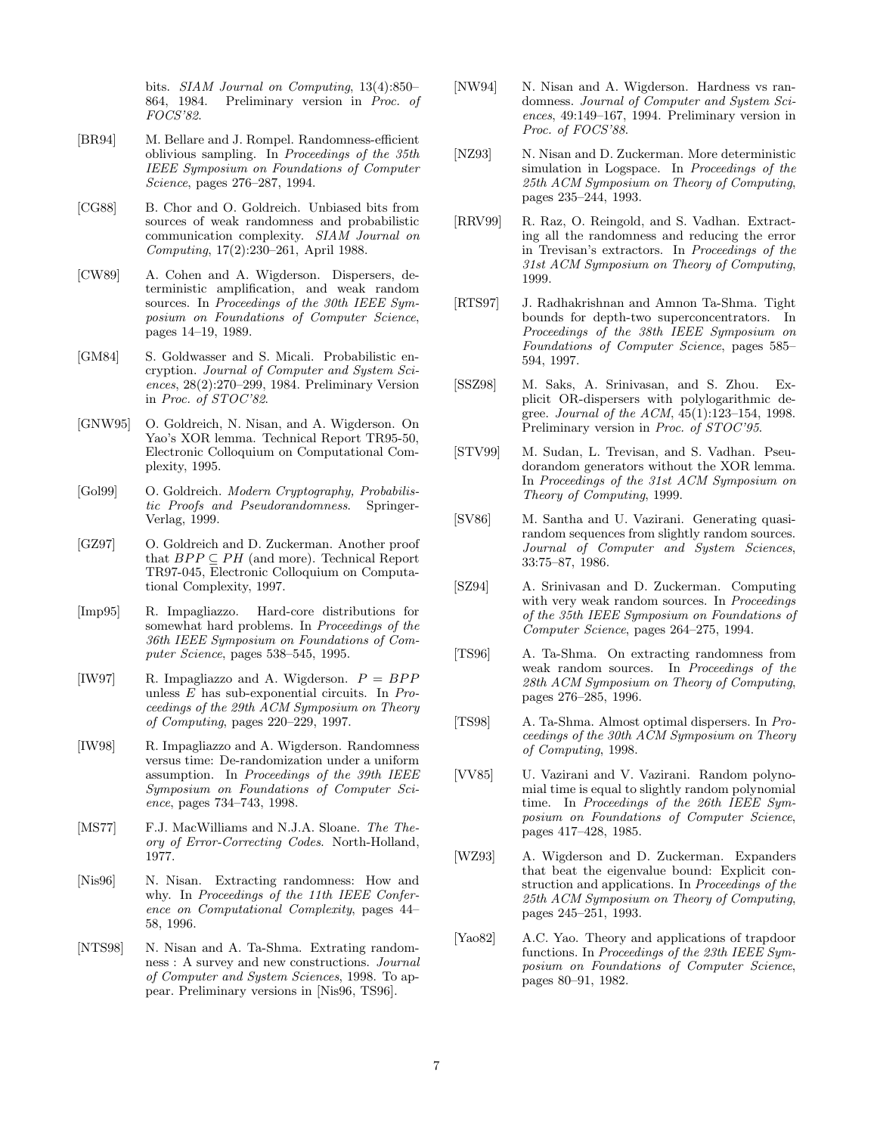bits. SIAM Journal on Computing, 13(4):850– 864, 1984. Preliminary version in Proc. of FOCS'82.

- [BR94] M. Bellare and J. Rompel. Randomness-efficient oblivious sampling. In Proceedings of the 35th IEEE Symposium on Foundations of Computer Science, pages 276–287, 1994.
- [CG88] B. Chor and O. Goldreich. Unbiased bits from sources of weak randomness and probabilistic communication complexity. SIAM Journal on Computing, 17(2):230–261, April 1988.
- [CW89] A. Cohen and A. Wigderson. Dispersers, deterministic amplification, and weak random sources. In Proceedings of the 30th IEEE Symposium on Foundations of Computer Science, pages 14–19, 1989.
- [GM84] S. Goldwasser and S. Micali. Probabilistic encryption. Journal of Computer and System Sciences, 28(2):270–299, 1984. Preliminary Version in Proc. of STOC'82.
- [GNW95] O. Goldreich, N. Nisan, and A. Wigderson. On Yao's XOR lemma. Technical Report TR95-50, Electronic Colloquium on Computational Complexity, 1995.
- [Gol99] O. Goldreich. Modern Cryptography, Probabilistic Proofs and Pseudorandomness. Springer-Verlag, 1999.
- [GZ97] O. Goldreich and D. Zuckerman. Another proof that  $BPP \subseteq PH$  (and more). Technical Report TR97-045, Electronic Colloquium on Computational Complexity, 1997.
- [Imp95] R. Impagliazzo. Hard-core distributions for somewhat hard problems. In Proceedings of the 36th IEEE Symposium on Foundations of Computer Science, pages 538–545, 1995.
- [IW97] R. Impagliazzo and A. Wigderson.  $P = BPP$ unless  $E$  has sub-exponential circuits. In Proceedings of the 29th ACM Symposium on Theory of Computing, pages 220–229, 1997.
- [IW98] R. Impagliazzo and A. Wigderson. Randomness versus time: De-randomization under a uniform assumption. In Proceedings of the 39th IEEE Symposium on Foundations of Computer Science, pages 734–743, 1998.
- [MS77] F.J. MacWilliams and N.J.A. Sloane. The Theory of Error-Correcting Codes. North-Holland, 1977.
- [Nis96] N. Nisan. Extracting randomness: How and why. In Proceedings of the 11th IEEE Conference on Computational Complexity, pages 44– 58, 1996.
- [NTS98] N. Nisan and A. Ta-Shma. Extrating randomness : A survey and new constructions. Journal of Computer and System Sciences, 1998. To appear. Preliminary versions in [Nis96, TS96].
- [NW94] N. Nisan and A. Wigderson. Hardness vs randomness. Journal of Computer and System Sciences, 49:149–167, 1994. Preliminary version in Proc. of FOCS'88.
- [NZ93] N. Nisan and D. Zuckerman. More deterministic simulation in Logspace. In Proceedings of the 25th ACM Symposium on Theory of Computing, pages 235–244, 1993.
- [RRV99] R. Raz, O. Reingold, and S. Vadhan. Extracting all the randomness and reducing the error in Trevisan's extractors. In Proceedings of the 31st ACM Symposium on Theory of Computing, 1999.
- [RTS97] J. Radhakrishnan and Amnon Ta-Shma. Tight bounds for depth-two superconcentrators. In Proceedings of the 38th IEEE Symposium on Foundations of Computer Science, pages 585– 594, 1997.
- [SSZ98] M. Saks, A. Srinivasan, and S. Zhou. Explicit OR-dispersers with polylogarithmic degree. Journal of the ACM, 45(1):123–154, 1998. Preliminary version in Proc. of STOC'95.
- [STV99] M. Sudan, L. Trevisan, and S. Vadhan. Pseudorandom generators without the XOR lemma. In Proceedings of the 31st ACM Symposium on Theory of Computing, 1999.
- [SV86] M. Santha and U. Vazirani. Generating quasirandom sequences from slightly random sources. Journal of Computer and System Sciences, 33:75–87, 1986.
- [SZ94] A. Srinivasan and D. Zuckerman. Computing with very weak random sources. In *Proceedings* of the 35th IEEE Symposium on Foundations of Computer Science, pages 264–275, 1994.
- [TS96] A. Ta-Shma. On extracting randomness from weak random sources. In Proceedings of the 28th ACM Symposium on Theory of Computing, pages 276–285, 1996.
- [TS98] A. Ta-Shma. Almost optimal dispersers. In Proceedings of the 30th ACM Symposium on Theory of Computing, 1998.
- [VV85] U. Vazirani and V. Vazirani. Random polynomial time is equal to slightly random polynomial time. In Proceedings of the 26th IEEE Symposium on Foundations of Computer Science, pages 417–428, 1985.
- [WZ93] A. Wigderson and D. Zuckerman. Expanders that beat the eigenvalue bound: Explicit construction and applications. In Proceedings of the 25th ACM Symposium on Theory of Computing, pages 245–251, 1993.
- [Yao82] A.C. Yao. Theory and applications of trapdoor functions. In Proceedings of the 23th IEEE Symposium on Foundations of Computer Science, pages 80–91, 1982.